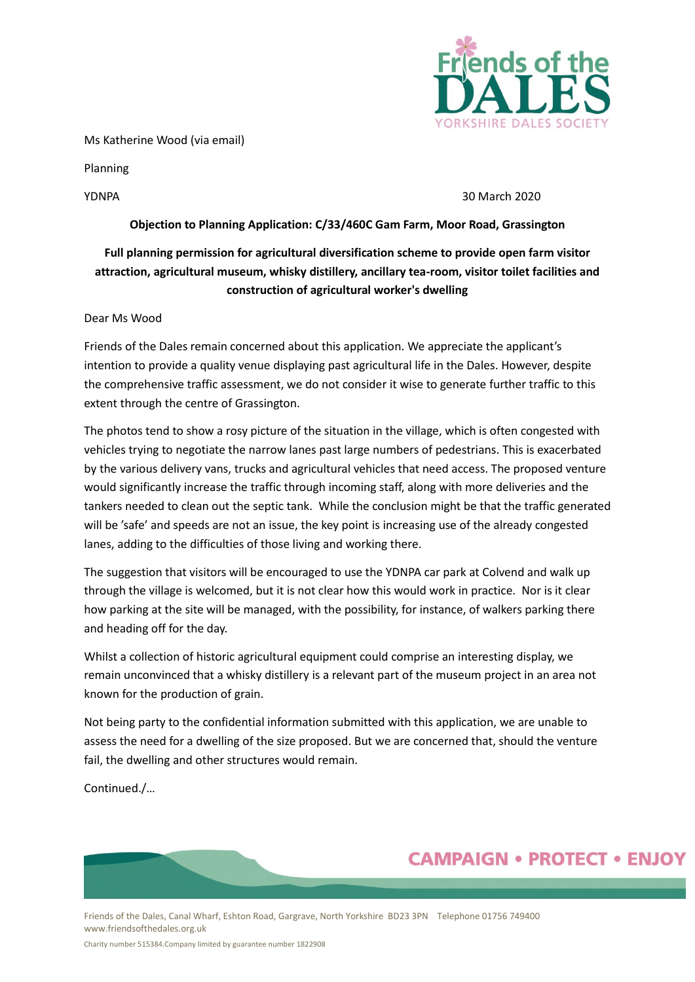

Ms Katherine Wood (via email)

Planning

### YDNPA 30 March 2020

### **Objection to Planning Application: C/33/460C Gam Farm, Moor Road, Grassington**

## **Full planning permission for agricultural diversification scheme to provide open farm visitor attraction, agricultural museum, whisky distillery, ancillary tea-room, visitor toilet facilities and construction of agricultural worker's dwelling**

### Dear Ms Wood

Friends of the Dales remain concerned about this application. We appreciate the applicant's intention to provide a quality venue displaying past agricultural life in the Dales. However, despite the comprehensive traffic assessment, we do not consider it wise to generate further traffic to this extent through the centre of Grassington.

The photos tend to show a rosy picture of the situation in the village, which is often congested with vehicles trying to negotiate the narrow lanes past large numbers of pedestrians. This is exacerbated by the various delivery vans, trucks and agricultural vehicles that need access. The proposed venture would significantly increase the traffic through incoming staff, along with more deliveries and the tankers needed to clean out the septic tank. While the conclusion might be that the traffic generated will be 'safe' and speeds are not an issue, the key point is increasing use of the already congested lanes, adding to the difficulties of those living and working there.

The suggestion that visitors will be encouraged to use the YDNPA car park at Colvend and walk up through the village is welcomed, but it is not clear how this would work in practice. Nor is it clear how parking at the site will be managed, with the possibility, for instance, of walkers parking there and heading off for the day.

Whilst a collection of historic agricultural equipment could comprise an interesting display, we remain unconvinced that a whisky distillery is a relevant part of the museum project in an area not known for the production of grain.

Not being party to the confidential information submitted with this application, we are unable to assess the need for a dwelling of the size proposed. But we are concerned that, should the venture fail, the dwelling and other structures would remain.

Continued./…

# **CAMPAIGN • PROTECT • ENJOY**

Friends of the Dales, Canal Wharf, Eshton Road, Gargrave, North Yorkshire BD23 3PN Telephone 01756 749400 www.friendsofthedales.org.uk